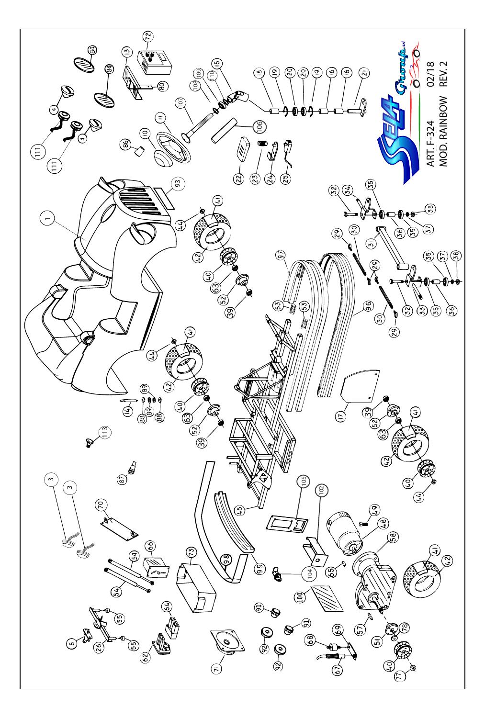